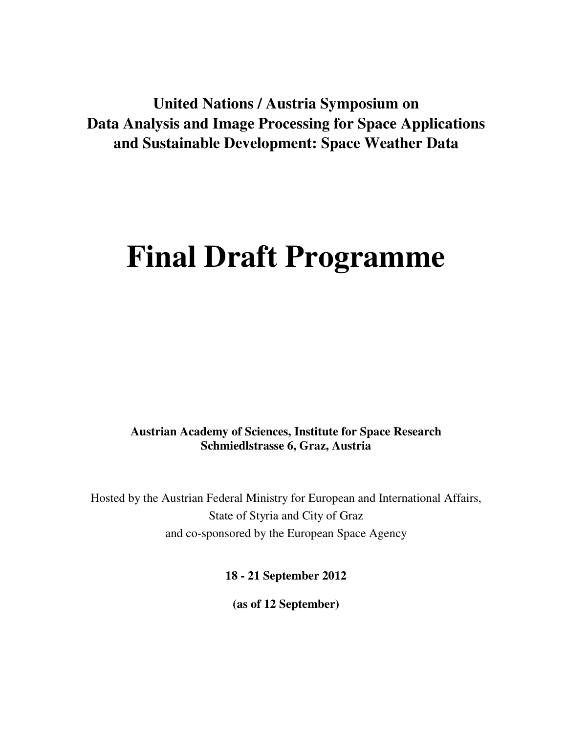**United Nations / Austria Symposium on Data Analysis and Image Processing for Space Applications and Sustainable Development: Space Weather Data** 

# **Final Draft Programme**

**Austrian Academy of Sciences, Institute for Space Research Schmiedlstrasse 6, Graz, Austria** 

Hosted by the Austrian Federal Ministry for European and International Affairs, State of Styria and City of Graz and co-sponsored by the European Space Agency

**18 - 21 September 2012** 

**(as of 12 September)**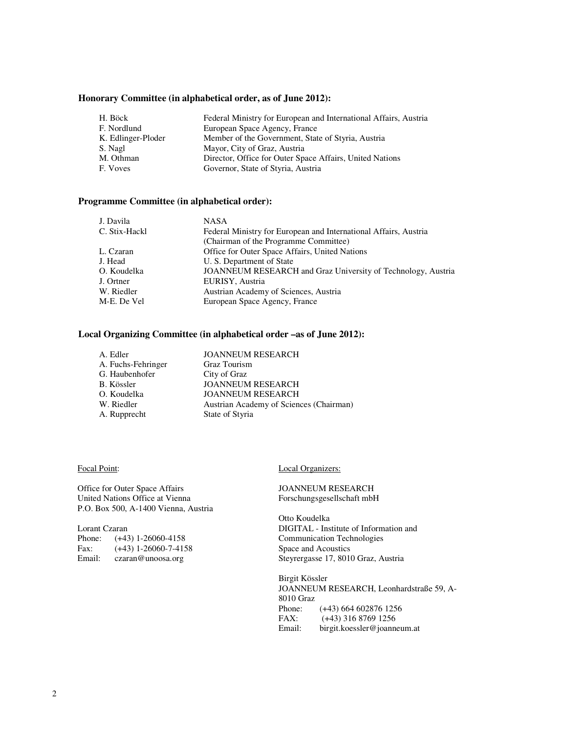## **Honorary Committee (in alphabetical order, as of June 2012):**

| H. Böck            | Federal Ministry for European and International Affairs, Austria |  |
|--------------------|------------------------------------------------------------------|--|
| F. Nordlund        | European Space Agency, France                                    |  |
| K. Edlinger-Ploder | Member of the Government, State of Styria, Austria               |  |
| S. Nagl            | Mayor, City of Graz, Austria                                     |  |
| M. Othman          | Director, Office for Outer Space Affairs, United Nations         |  |
| F. Voves           | Governor, State of Styria, Austria                               |  |

## **Programme Committee (in alphabetical order):**

| J. Davila     | <b>NASA</b>                                                         |  |
|---------------|---------------------------------------------------------------------|--|
| C. Stix-Hackl | Federal Ministry for European and International Affairs, Austria    |  |
|               | (Chairman of the Programme Committee)                               |  |
| L. Czaran     | Office for Outer Space Affairs, United Nations                      |  |
| J. Head       | U. S. Department of State                                           |  |
| O. Koudelka   | <b>JOANNEUM RESEARCH</b> and Graz University of Technology, Austria |  |
| J. Ortner     | EURISY, Austria                                                     |  |
| W. Riedler    | Austrian Academy of Sciences, Austria                               |  |
| M-E. De Vel   | European Space Agency, France                                       |  |

### **Local Organizing Committee (in alphabetical order –as of June 2012):**

| A. Edler           | <b>JOANNEUM RESEARCH</b>                |
|--------------------|-----------------------------------------|
| A. Fuchs-Fehringer | <b>Graz Tourism</b>                     |
| G. Haubenhofer     | City of Graz                            |
| B. Kössler         | <b>JOANNEUM RESEARCH</b>                |
| O. Koudelka        | <b>JOANNEUM RESEARCH</b>                |
| W. Riedler         | Austrian Academy of Sciences (Chairman) |
| A. Rupprecht       | State of Styria                         |
|                    |                                         |

#### Focal Point:

Office for Outer Space Affairs United Nations Office at Vienna P.O. Box 500, A-1400 Vienna, Austria

Lorant Czaran Phone: (+43) 1-26060-4158<br>Fax: (+43) 1-26060-7-415  $(+43)$  1-26060-7-4158 Email: czaran@unoosa.org

#### Local Organizers:

JOANNEUM RESEARCH Forschungsgesellschaft mbH

Otto Koudelka DIGITAL - Institute of Information and Communication Technologies Space and Acoustics Steyrergasse 17, 8010 Graz, Austria

Birgit Kössler JOANNEUM RESEARCH, Leonhardstraße 59, A-8010 Graz Phone: (+43) 664 602876 1256 FAX: (+43) 316 8769 1256<br>Email: birgit.koessler@ioanne birgit.koessler@joanneum.at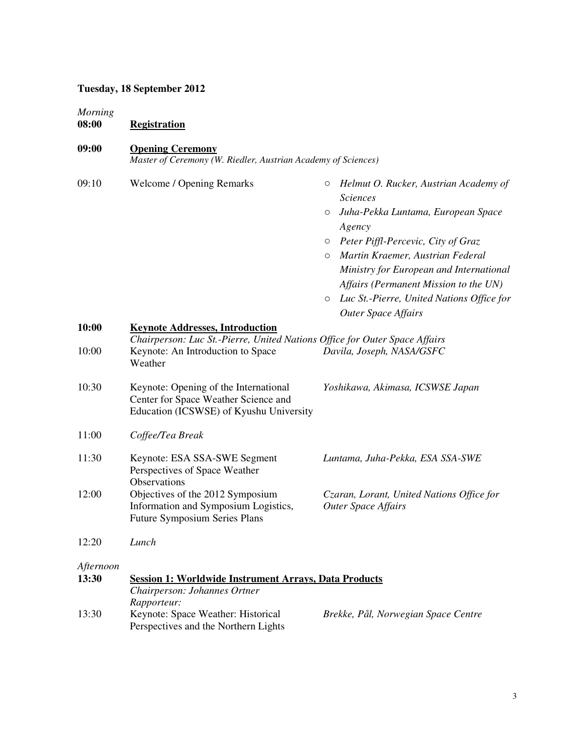# **Tuesday, 18 September 2012**

| <b>Morning</b><br>08:00 | <b>Registration</b>                                                                                                        |                                                                                                                                                                                                                                                                                                                                                                                        |
|-------------------------|----------------------------------------------------------------------------------------------------------------------------|----------------------------------------------------------------------------------------------------------------------------------------------------------------------------------------------------------------------------------------------------------------------------------------------------------------------------------------------------------------------------------------|
| 09:00                   | <b>Opening Ceremony</b><br>Master of Ceremony (W. Riedler, Austrian Academy of Sciences)                                   |                                                                                                                                                                                                                                                                                                                                                                                        |
| 09:10                   | <b>Welcome / Opening Remarks</b>                                                                                           | Helmut O. Rucker, Austrian Academy of<br>О<br><b>Sciences</b><br>Juha-Pekka Luntama, European Space<br>O<br>Agency<br>Peter Piffl-Percevic, City of Graz<br>$\circ$<br>Martin Kraemer, Austrian Federal<br>$\circ$<br>Ministry for European and International<br>Affairs (Permanent Mission to the UN)<br>Luc St.-Pierre, United Nations Office for<br>O<br><b>Outer Space Affairs</b> |
| 10:00                   | <b>Keynote Addresses, Introduction</b>                                                                                     |                                                                                                                                                                                                                                                                                                                                                                                        |
| 10:00                   | Chairperson: Luc St.-Pierre, United Nations Office for Outer Space Affairs<br>Keynote: An Introduction to Space<br>Weather | Davila, Joseph, NASA/GSFC                                                                                                                                                                                                                                                                                                                                                              |
| 10:30                   | Keynote: Opening of the International<br>Center for Space Weather Science and<br>Education (ICSWSE) of Kyushu University   | Yoshikawa, Akimasa, ICSWSE Japan                                                                                                                                                                                                                                                                                                                                                       |
| 11:00                   | Coffee/Tea Break                                                                                                           |                                                                                                                                                                                                                                                                                                                                                                                        |
| 11:30                   | Keynote: ESA SSA-SWE Segment<br>Perspectives of Space Weather<br>Observations                                              | Luntama, Juha-Pekka, ESA SSA-SWE                                                                                                                                                                                                                                                                                                                                                       |
| 12:00                   | Objectives of the 2012 Symposium<br>Information and Symposium Logistics,<br><b>Future Symposium Series Plans</b>           | Czaran, Lorant, United Nations Office for<br><b>Outer Space Affairs</b>                                                                                                                                                                                                                                                                                                                |
| 12:20                   | Lunch                                                                                                                      |                                                                                                                                                                                                                                                                                                                                                                                        |
| Afternoon<br>13:30      | <b>Session 1: Worldwide Instrument Arrays, Data Products</b><br>Chairperson: Johannes Ortner<br>Rapporteur:                |                                                                                                                                                                                                                                                                                                                                                                                        |
| 13:30                   | Keynote: Space Weather: Historical<br>Perspectives and the Northern Lights                                                 | Brekke, Pål, Norwegian Space Centre                                                                                                                                                                                                                                                                                                                                                    |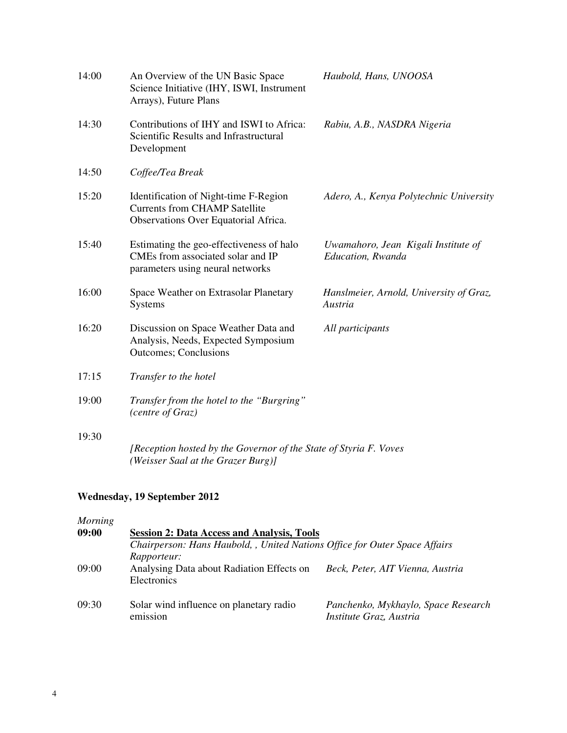| 14:00 | An Overview of the UN Basic Space<br>Science Initiative (IHY, ISWI, Instrument<br>Arrays), Future Plans               | Haubold, Hans, UNOOSA                                    |
|-------|-----------------------------------------------------------------------------------------------------------------------|----------------------------------------------------------|
| 14:30 | Contributions of IHY and ISWI to Africa:<br>Scientific Results and Infrastructural<br>Development                     | Rabiu, A.B., NASDRA Nigeria                              |
| 14:50 | Coffee/Tea Break                                                                                                      |                                                          |
| 15:20 | Identification of Night-time F-Region<br><b>Currents from CHAMP Satellite</b><br>Observations Over Equatorial Africa. | Adero, A., Kenya Polytechnic University                  |
| 15:40 | Estimating the geo-effectiveness of halo<br>CMEs from associated solar and IP<br>parameters using neural networks     | Uwamahoro, Jean Kigali Institute of<br>Education, Rwanda |
| 16:00 | Space Weather on Extrasolar Planetary<br>Systems                                                                      | Hanslmeier, Arnold, University of Graz,<br>Austria       |
| 16:20 | Discussion on Space Weather Data and<br>Analysis, Needs, Expected Symposium<br><b>Outcomes</b> ; Conclusions          | All participants                                         |
| 17:15 | Transfer to the hotel                                                                                                 |                                                          |
| 19:00 | Transfer from the hotel to the "Burgring"<br>(centre of Graz)                                                         |                                                          |
| 19:30 | [Reception hosted by the Governor of the State of Styria F. Voves<br>(Weisser Saal at the Grazer Burg)]               |                                                          |

# **Wednesday, 19 September 2012**

| Morning |                                                                            |                                                                |  |
|---------|----------------------------------------------------------------------------|----------------------------------------------------------------|--|
| 09:00   | <b>Session 2: Data Access and Analysis, Tools</b>                          |                                                                |  |
|         | Chairperson: Hans Haubold, , United Nations Office for Outer Space Affairs |                                                                |  |
|         | Rapporteur:                                                                |                                                                |  |
| 09:00   | Analysing Data about Radiation Effects on<br>Electronics                   | Beck, Peter, AIT Vienna, Austria                               |  |
| 09:30   | Solar wind influence on planetary radio<br>emission                        | Panchenko, Mykhaylo, Space Research<br>Institute Graz, Austria |  |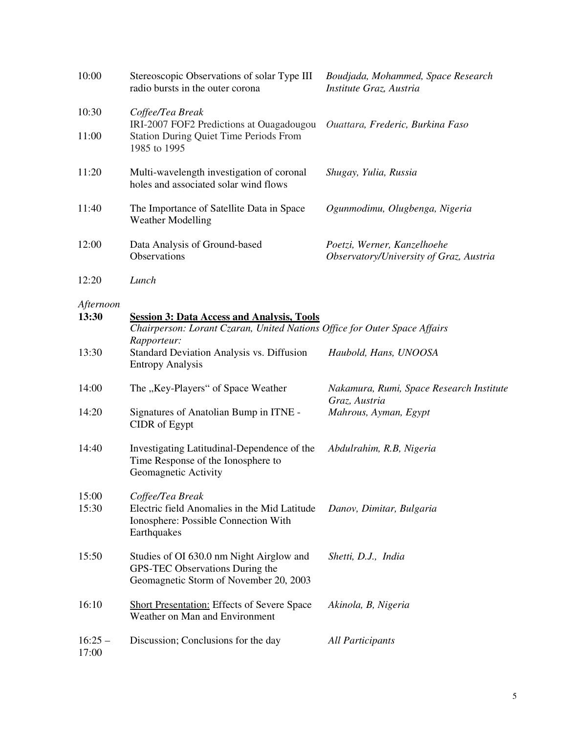| 10:00              | Stereoscopic Observations of solar Type III<br>radio bursts in the outer corona                                                               | Boudjada, Mohammed, Space Research<br>Institute Graz, Austria          |
|--------------------|-----------------------------------------------------------------------------------------------------------------------------------------------|------------------------------------------------------------------------|
| 10:30              | Coffee/Tea Break<br>IRI-2007 FOF2 Predictions at Ouagadougou                                                                                  | Ouattara, Frederic, Burkina Faso                                       |
| 11:00              | <b>Station During Quiet Time Periods From</b><br>1985 to 1995                                                                                 |                                                                        |
| 11:20              | Multi-wavelength investigation of coronal<br>holes and associated solar wind flows                                                            | Shugay, Yulia, Russia                                                  |
| 11:40              | The Importance of Satellite Data in Space<br><b>Weather Modelling</b>                                                                         | Ogunmodimu, Olugbenga, Nigeria                                         |
| 12:00              | Data Analysis of Ground-based<br>Observations                                                                                                 | Poetzi, Werner, Kanzelhoehe<br>Observatory/University of Graz, Austria |
| 12:20              | Lunch                                                                                                                                         |                                                                        |
| Afternoon<br>13:30 | <b>Session 3: Data Access and Analysis, Tools</b><br>Chairperson: Lorant Czaran, United Nations Office for Outer Space Affairs<br>Rapporteur: |                                                                        |
| 13:30              | <b>Standard Deviation Analysis vs. Diffusion</b><br><b>Entropy Analysis</b>                                                                   | Haubold, Hans, UNOOSA                                                  |
| 14:00              | The "Key-Players" of Space Weather                                                                                                            | Nakamura, Rumi, Space Research Institute<br>Graz, Austria              |
| 14:20              | Signatures of Anatolian Bump in ITNE -<br>CIDR of Egypt                                                                                       | Mahrous, Ayman, Egypt                                                  |
| 14:40              | Investigating Latitudinal-Dependence of the<br>Time Response of the Ionosphere to<br>Geomagnetic Activity                                     | Abdulrahim, R.B, Nigeria                                               |
| 15:00<br>15:30     | Coffee/Tea Break<br>Electric field Anomalies in the Mid Latitude<br>Ionosphere: Possible Connection With<br>Earthquakes                       | Danov, Dimitar, Bulgaria                                               |
| 15:50              | Studies of OI 630.0 nm Night Airglow and<br>GPS-TEC Observations During the<br>Geomagnetic Storm of November 20, 2003                         | Shetti, D.J., India                                                    |
| 16:10              | <b>Short Presentation: Effects of Severe Space</b><br>Weather on Man and Environment                                                          | Akinola, B, Nigeria                                                    |
| $16:25 -$<br>17:00 | Discussion; Conclusions for the day                                                                                                           | <b>All Participants</b>                                                |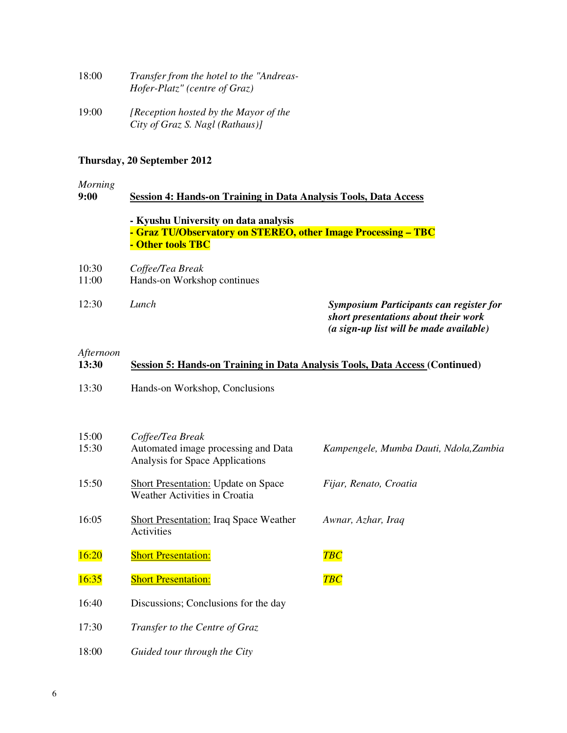| 18:00 | Transfer from the hotel to the "Andreas- |
|-------|------------------------------------------|
|       | <i>Hofer-Platz"</i> (centre of Graz)     |
|       |                                          |

19:00 *[Reception hosted by the Mayor of the City of Graz S. Nagl (Rathaus)]* 

# **Thursday, 20 September 2012**

*Morning*

| Session 4: Hands-on Training in Data Analysis Tools, Data Access                                                           |                                                                                                                                   |
|----------------------------------------------------------------------------------------------------------------------------|-----------------------------------------------------------------------------------------------------------------------------------|
| - Kyushu University on data analysis<br>- Graz TU/Observatory on STEREO, other Image Processing - TBC<br>- Other tools TBC |                                                                                                                                   |
| Coffee/Tea Break                                                                                                           |                                                                                                                                   |
| Hands-on Workshop continues                                                                                                |                                                                                                                                   |
| Lunch                                                                                                                      | <b>Symposium Participants can register for</b><br>short presentations about their work<br>(a sign-up list will be made available) |
| Afternoon<br>Session 5: Hands-on Training in Data Analysis Tools, Data Access (Continued)                                  |                                                                                                                                   |
| Hands-on Workshop, Conclusions                                                                                             |                                                                                                                                   |
|                                                                                                                            |                                                                                                                                   |
|                                                                                                                            |                                                                                                                                   |

| 15:00<br>15:30 | Coffee/Tea Break<br>Automated image processing and Data<br>Analysis for Space Applications | Kampengele, Mumba Dauti, Ndola, Zambia |
|----------------|--------------------------------------------------------------------------------------------|----------------------------------------|
| 15:50          | <b>Short Presentation: Update on Space</b><br>Weather Activities in Croatia                | Fijar, Renato, Croatia                 |
| 16:05          | <b>Short Presentation: Iraq Space Weather</b><br>Activities                                | Awnar, Azhar, Iraq                     |
| 16:20          | <b>Short Presentation:</b>                                                                 | <b>TBC</b>                             |
| 16:35          | <b>Short Presentation:</b>                                                                 | <b>TBC</b>                             |
| 16:40          | Discussions; Conclusions for the day                                                       |                                        |
| 17:30          | Transfer to the Centre of Graz                                                             |                                        |
| 18:00          | Guided tour through the City                                                               |                                        |